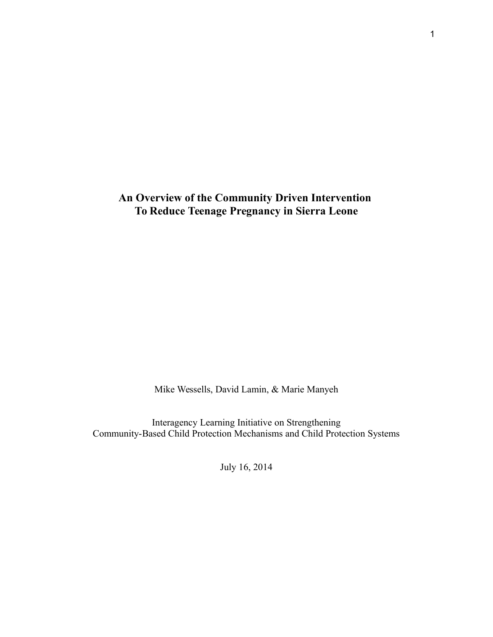**An Overview of the Community Driven Intervention To Reduce Teenage Pregnancy in Sierra Leone**

Mike Wessells, David Lamin, & Marie Manyeh

Interagency Learning Initiative on Strengthening Community-Based Child Protection Mechanisms and Child Protection Systems

July 16, 2014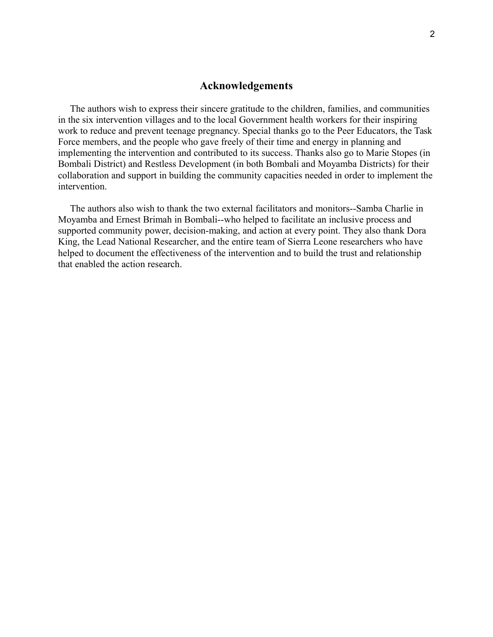# **Acknowledgements**

 The authors wish to express their sincere gratitude to the children, families, and communities in the six intervention villages and to the local Government health workers for their inspiring work to reduce and prevent teenage pregnancy. Special thanks go to the Peer Educators, the Task Force members, and the people who gave freely of their time and energy in planning and implementing the intervention and contributed to its success. Thanks also go to Marie Stopes (in Bombali District) and Restless Development (in both Bombali and Moyamba Districts) for their collaboration and support in building the community capacities needed in order to implement the intervention.

 The authors also wish to thank the two external facilitators and monitors--Samba Charlie in Moyamba and Ernest Brimah in Bombali--who helped to facilitate an inclusive process and supported community power, decision-making, and action at every point. They also thank Dora King, the Lead National Researcher, and the entire team of Sierra Leone researchers who have helped to document the effectiveness of the intervention and to build the trust and relationship that enabled the action research.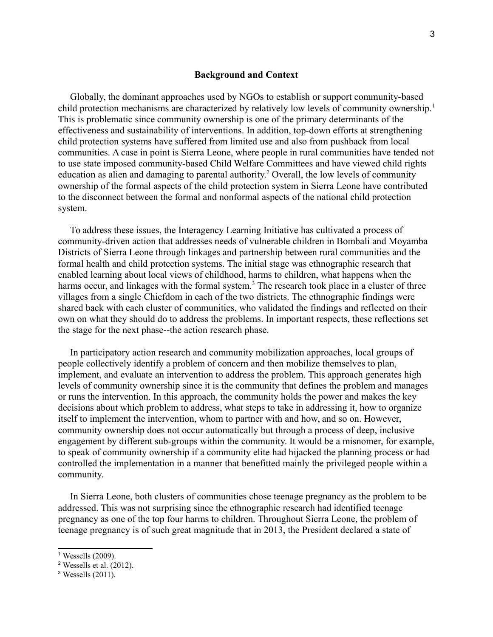### **Background and Context**

 Globally, the dominant approaches used by NGOs to establish or support community-based child protection mechanisms are characterized by relatively low levels of community ownership.<sup>[1](#page-2-0)</sup> This is problematic since community ownership is one of the primary determinants of the effectiveness and sustainability of interventions. In addition, top-down efforts at strengthening child protection systems have suffered from limited use and also from pushback from local communities. A case in point is Sierra Leone, where people in rural communities have tended not to use state imposed community-based Child Welfare Committees and have viewed child rights education as alien and damaging to parental authority.<sup>[2](#page-2-1)</sup> Overall, the low levels of community ownership of the formal aspects of the child protection system in Sierra Leone have contributed to the disconnect between the formal and nonformal aspects of the national child protection system.

 To address these issues, the Interagency Learning Initiative has cultivated a process of community-driven action that addresses needs of vulnerable children in Bombali and Moyamba Districts of Sierra Leone through linkages and partnership between rural communities and the formal health and child protection systems. The initial stage was ethnographic research that enabled learning about local views of childhood, harms to children, what happens when the harms occur, and linkages with the formal system.<sup>[3](#page-2-2)</sup> The research took place in a cluster of three villages from a single Chiefdom in each of the two districts. The ethnographic findings were shared back with each cluster of communities, who validated the findings and reflected on their own on what they should do to address the problems. In important respects, these reflections set the stage for the next phase--the action research phase.

 In participatory action research and community mobilization approaches, local groups of people collectively identify a problem of concern and then mobilize themselves to plan, implement, and evaluate an intervention to address the problem. This approach generates high levels of community ownership since it is the community that defines the problem and manages or runs the intervention. In this approach, the community holds the power and makes the key decisions about which problem to address, what steps to take in addressing it, how to organize itself to implement the intervention, whom to partner with and how, and so on. However, community ownership does not occur automatically but through a process of deep, inclusive engagement by different sub-groups within the community. It would be a misnomer, for example, to speak of community ownership if a community elite had hijacked the planning process or had controlled the implementation in a manner that benefitted mainly the privileged people within a community.

 In Sierra Leone, both clusters of communities chose teenage pregnancy as the problem to be addressed. This was not surprising since the ethnographic research had identified teenage pregnancy as one of the top four harms to children. Throughout Sierra Leone, the problem of teenage pregnancy is of such great magnitude that in 2013, the President declared a state of

<span id="page-2-0"></span><sup>1</sup> Wessells (2009).

<span id="page-2-1"></span> $2$  Wessells et al. (2012).

<span id="page-2-2"></span><sup>3</sup> Wessells (2011).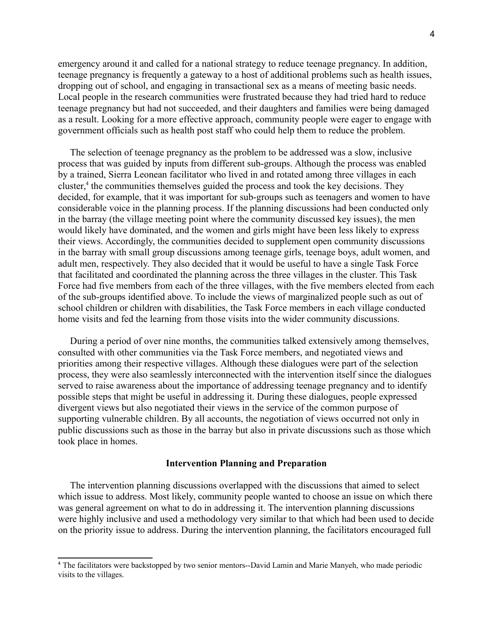emergency around it and called for a national strategy to reduce teenage pregnancy. In addition, teenage pregnancy is frequently a gateway to a host of additional problems such as health issues, dropping out of school, and engaging in transactional sex as a means of meeting basic needs. Local people in the research communities were frustrated because they had tried hard to reduce teenage pregnancy but had not succeeded, and their daughters and families were being damaged as a result. Looking for a more effective approach, community people were eager to engage with government officials such as health post staff who could help them to reduce the problem.

 The selection of teenage pregnancy as the problem to be addressed was a slow, inclusive process that was guided by inputs from different sub-groups. Although the process was enabled by a trained, Sierra Leonean facilitator who lived in and rotated among three villages in each cluster,<sup>[4](#page-3-0)</sup> the communities themselves guided the process and took the key decisions. They decided, for example, that it was important for sub-groups such as teenagers and women to have considerable voice in the planning process. If the planning discussions had been conducted only in the barray (the village meeting point where the community discussed key issues), the men would likely have dominated, and the women and girls might have been less likely to express their views. Accordingly, the communities decided to supplement open community discussions in the barray with small group discussions among teenage girls, teenage boys, adult women, and adult men, respectively. They also decided that it would be useful to have a single Task Force that facilitated and coordinated the planning across the three villages in the cluster. This Task Force had five members from each of the three villages, with the five members elected from each of the sub-groups identified above. To include the views of marginalized people such as out of school children or children with disabilities, the Task Force members in each village conducted home visits and fed the learning from those visits into the wider community discussions.

 During a period of over nine months, the communities talked extensively among themselves, consulted with other communities via the Task Force members, and negotiated views and priorities among their respective villages. Although these dialogues were part of the selection process, they were also seamlessly interconnected with the intervention itself since the dialogues served to raise awareness about the importance of addressing teenage pregnancy and to identify possible steps that might be useful in addressing it. During these dialogues, people expressed divergent views but also negotiated their views in the service of the common purpose of supporting vulnerable children. By all accounts, the negotiation of views occurred not only in public discussions such as those in the barray but also in private discussions such as those which took place in homes.

#### **Intervention Planning and Preparation**

 The intervention planning discussions overlapped with the discussions that aimed to select which issue to address. Most likely, community people wanted to choose an issue on which there was general agreement on what to do in addressing it. The intervention planning discussions were highly inclusive and used a methodology very similar to that which had been used to decide on the priority issue to address. During the intervention planning, the facilitators encouraged full

<span id="page-3-0"></span><sup>4</sup> The facilitators were backstopped by two senior mentors--David Lamin and Marie Manyeh, who made periodic visits to the villages.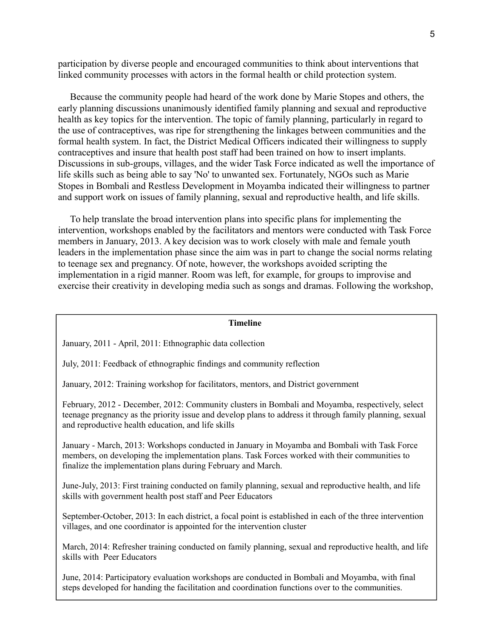participation by diverse people and encouraged communities to think about interventions that linked community processes with actors in the formal health or child protection system.

 Because the community people had heard of the work done by Marie Stopes and others, the early planning discussions unanimously identified family planning and sexual and reproductive health as key topics for the intervention. The topic of family planning, particularly in regard to the use of contraceptives, was ripe for strengthening the linkages between communities and the formal health system. In fact, the District Medical Officers indicated their willingness to supply contraceptives and insure that health post staff had been trained on how to insert implants. Discussions in sub-groups, villages, and the wider Task Force indicated as well the importance of life skills such as being able to say 'No' to unwanted sex. Fortunately, NGOs such as Marie Stopes in Bombali and Restless Development in Moyamba indicated their willingness to partner and support work on issues of family planning, sexual and reproductive health, and life skills.

 To help translate the broad intervention plans into specific plans for implementing the intervention, workshops enabled by the facilitators and mentors were conducted with Task Force members in January, 2013. A key decision was to work closely with male and female youth leaders in the implementation phase since the aim was in part to change the social norms relating to teenage sex and pregnancy. Of note, however, the workshops avoided scripting the implementation in a rigid manner. Room was left, for example, for groups to improvise and exercise their creativity in developing media such as songs and dramas. Following the workshop,

#### **Timeline**

January, 2011 - April, 2011: Ethnographic data collection

July, 2011: Feedback of ethnographic findings and community reflection

January, 2012: Training workshop for facilitators, mentors, and District government

February, 2012 - December, 2012: Community clusters in Bombali and Moyamba, respectively, select teenage pregnancy as the priority issue and develop plans to address it through family planning, sexual and reproductive health education, and life skills

January - March, 2013: Workshops conducted in January in Moyamba and Bombali with Task Force members, on developing the implementation plans. Task Forces worked with their communities to finalize the implementation plans during February and March.

June-July, 2013: First training conducted on family planning, sexual and reproductive health, and life skills with government health post staff and Peer Educators

September-October, 2013: In each district, a focal point is established in each of the three intervention villages, and one coordinator is appointed for the intervention cluster

March, 2014: Refresher training conducted on family planning, sexual and reproductive health, and life skills with Peer Educators

June, 2014: Participatory evaluation workshops are conducted in Bombali and Moyamba, with final steps developed for handing the facilitation and coordination functions over to the communities.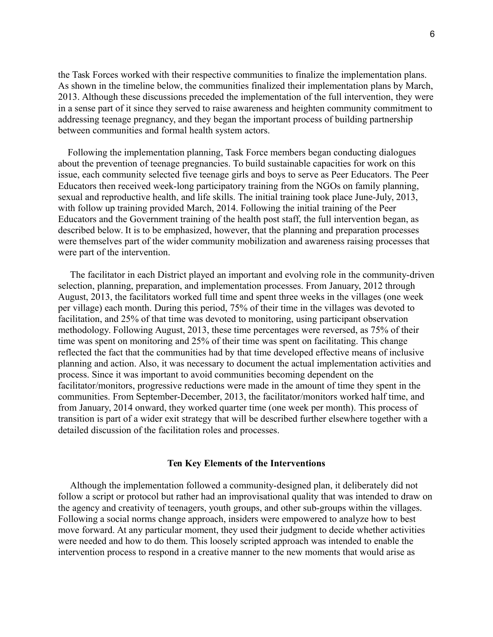the Task Forces worked with their respective communities to finalize the implementation plans. As shown in the timeline below, the communities finalized their implementation plans by March, 2013. Although these discussions preceded the implementation of the full intervention, they were in a sense part of it since they served to raise awareness and heighten community commitment to addressing teenage pregnancy, and they began the important process of building partnership between communities and formal health system actors.

 Following the implementation planning, Task Force members began conducting dialogues about the prevention of teenage pregnancies. To build sustainable capacities for work on this issue, each community selected five teenage girls and boys to serve as Peer Educators. The Peer Educators then received week-long participatory training from the NGOs on family planning, sexual and reproductive health, and life skills. The initial training took place June-July, 2013, with follow up training provided March, 2014. Following the initial training of the Peer Educators and the Government training of the health post staff, the full intervention began, as described below. It is to be emphasized, however, that the planning and preparation processes were themselves part of the wider community mobilization and awareness raising processes that were part of the intervention.

 The facilitator in each District played an important and evolving role in the community-driven selection, planning, preparation, and implementation processes. From January, 2012 through August, 2013, the facilitators worked full time and spent three weeks in the villages (one week per village) each month. During this period, 75% of their time in the villages was devoted to facilitation, and 25% of that time was devoted to monitoring, using participant observation methodology. Following August, 2013, these time percentages were reversed, as 75% of their time was spent on monitoring and 25% of their time was spent on facilitating. This change reflected the fact that the communities had by that time developed effective means of inclusive planning and action. Also, it was necessary to document the actual implementation activities and process. Since it was important to avoid communities becoming dependent on the facilitator/monitors, progressive reductions were made in the amount of time they spent in the communities. From September-December, 2013, the facilitator/monitors worked half time, and from January, 2014 onward, they worked quarter time (one week per month). This process of transition is part of a wider exit strategy that will be described further elsewhere together with a detailed discussion of the facilitation roles and processes.

### **Ten Key Elements of the Interventions**

 Although the implementation followed a community-designed plan, it deliberately did not follow a script or protocol but rather had an improvisational quality that was intended to draw on the agency and creativity of teenagers, youth groups, and other sub-groups within the villages. Following a social norms change approach, insiders were empowered to analyze how to best move forward. At any particular moment, they used their judgment to decide whether activities were needed and how to do them. This loosely scripted approach was intended to enable the intervention process to respond in a creative manner to the new moments that would arise as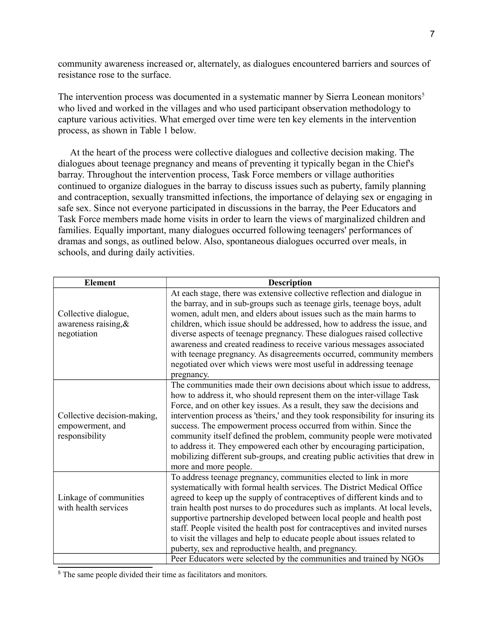community awareness increased or, alternately, as dialogues encountered barriers and sources of resistance rose to the surface.

The intervention process was documented in a systematic manner by Sierra Leonean monitors<sup>[5](#page-6-0)</sup> who lived and worked in the villages and who used participant observation methodology to capture various activities. What emerged over time were ten key elements in the intervention process, as shown in Table 1 below.

 At the heart of the process were collective dialogues and collective decision making. The dialogues about teenage pregnancy and means of preventing it typically began in the Chief's barray. Throughout the intervention process, Task Force members or village authorities continued to organize dialogues in the barray to discuss issues such as puberty, family planning and contraception, sexually transmitted infections, the importance of delaying sex or engaging in safe sex. Since not everyone participated in discussions in the barray, the Peer Educators and Task Force members made home visits in order to learn the views of marginalized children and families. Equally important, many dialogues occurred following teenagers' performances of dramas and songs, as outlined below. Also, spontaneous dialogues occurred over meals, in schools, and during daily activities.

| <b>Element</b>                                                    | <b>Description</b>                                                                                                                                                                                                                                                                                                                                                                                                                                                                                                                                                                                                                             |
|-------------------------------------------------------------------|------------------------------------------------------------------------------------------------------------------------------------------------------------------------------------------------------------------------------------------------------------------------------------------------------------------------------------------------------------------------------------------------------------------------------------------------------------------------------------------------------------------------------------------------------------------------------------------------------------------------------------------------|
| Collective dialogue,<br>awareness raising, $\&$<br>negotiation    | At each stage, there was extensive collective reflection and dialogue in<br>the barray, and in sub-groups such as teenage girls, teenage boys, adult<br>women, adult men, and elders about issues such as the main harms to<br>children, which issue should be addressed, how to address the issue, and<br>diverse aspects of teenage pregnancy. These dialogues raised collective<br>awareness and created readiness to receive various messages associated<br>with teenage pregnancy. As disagreements occurred, community members<br>negotiated over which views were most useful in addressing teenage<br>pregnancy.                       |
| Collective decision-making,<br>empowerment, and<br>responsibility | The communities made their own decisions about which issue to address,<br>how to address it, who should represent them on the inter-village Task<br>Force, and on other key issues. As a result, they saw the decisions and<br>intervention process as 'theirs,' and they took responsibility for insuring its<br>success. The empowerment process occurred from within. Since the<br>community itself defined the problem, community people were motivated<br>to address it. They empowered each other by encouraging participation,<br>mobilizing different sub-groups, and creating public activities that drew in<br>more and more people. |
| Linkage of communities<br>with health services                    | To address teenage pregnancy, communities elected to link in more<br>systematically with formal health services. The District Medical Office<br>agreed to keep up the supply of contraceptives of different kinds and to<br>train health post nurses to do procedures such as implants. At local levels,<br>supportive partnership developed between local people and health post<br>staff. People visited the health post for contraceptives and invited nurses<br>to visit the villages and help to educate people about issues related to<br>puberty, sex and reproductive health, and pregnancy.                                           |
|                                                                   | Peer Educators were selected by the communities and trained by NGOs                                                                                                                                                                                                                                                                                                                                                                                                                                                                                                                                                                            |

<span id="page-6-0"></span><sup>5</sup> The same people divided their time as facilitators and monitors.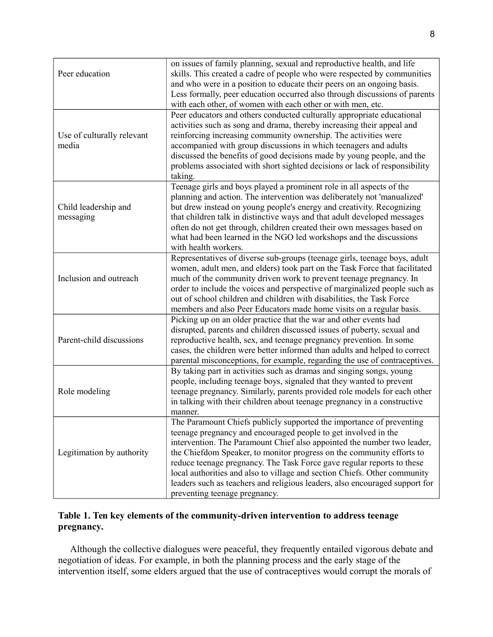| Peer education<br>Use of culturally relevant<br>media | on issues of family planning, sexual and reproductive health, and life<br>skills. This created a cadre of people who were respected by communities<br>and who were in a position to educate their peers on an ongoing basis.<br>Less formally, peer education occurred also through discussions of parents<br>with each other, of women with each other or with men, etc.<br>Peer educators and others conducted culturally appropriate educational<br>activities such as song and drama, thereby increasing their appeal and<br>reinforcing increasing community ownership. The activities were<br>accompanied with group discussions in which teenagers and adults<br>discussed the benefits of good decisions made by young people, and the |
|-------------------------------------------------------|------------------------------------------------------------------------------------------------------------------------------------------------------------------------------------------------------------------------------------------------------------------------------------------------------------------------------------------------------------------------------------------------------------------------------------------------------------------------------------------------------------------------------------------------------------------------------------------------------------------------------------------------------------------------------------------------------------------------------------------------|
|                                                       | problems associated with short sighted decisions or lack of responsibility<br>taking.                                                                                                                                                                                                                                                                                                                                                                                                                                                                                                                                                                                                                                                          |
| Child leadership and<br>messaging                     | Teenage girls and boys played a prominent role in all aspects of the<br>planning and action. The intervention was deliberately not 'manualized'<br>but drew instead on young people's energy and creativity. Recognizing<br>that children talk in distinctive ways and that adult developed messages<br>often do not get through, children created their own messages based on<br>what had been learned in the NGO led workshops and the discussions<br>with health workers.                                                                                                                                                                                                                                                                   |
| Inclusion and outreach                                | Representatives of diverse sub-groups (teenage girls, teenage boys, adult<br>women, adult men, and elders) took part on the Task Force that facilitated<br>much of the community driven work to prevent teenage pregnancy. In<br>order to include the voices and perspective of marginalized people such as<br>out of school children and children with disabilities, the Task Force<br>members and also Peer Educators made home visits on a regular basis.                                                                                                                                                                                                                                                                                   |
| Parent-child discussions                              | Picking up on an older practice that the war and other events had<br>disrupted, parents and children discussed issues of puberty, sexual and<br>reproductive health, sex, and teenage pregnancy prevention. In some<br>cases, the children were better informed than adults and helped to correct<br>parental misconceptions, for example, regarding the use of contraceptives.                                                                                                                                                                                                                                                                                                                                                                |
| Role modeling                                         | By taking part in activities such as dramas and singing songs, young<br>people, including teenage boys, signaled that they wanted to prevent<br>teenage pregnancy. Similarly, parents provided role models for each other<br>in talking with their children about teenage pregnancy in a constructive<br>manner.                                                                                                                                                                                                                                                                                                                                                                                                                               |
| Legitimation by authority                             | The Paramount Chiefs publicly supported the importance of preventing<br>teenage pregnancy and encouraged people to get involved in the<br>intervention. The Paramount Chief also appointed the number two leader,<br>the Chiefdom Speaker, to monitor progress on the community efforts to<br>reduce teenage pregnancy. The Task Force gave regular reports to these<br>local authorities and also to village and section Chiefs. Other community<br>leaders such as teachers and religious leaders, also encouraged support for<br>preventing teenage pregnancy.                                                                                                                                                                              |

# **Table 1. Ten key elements of the community-driven intervention to address teenage pregnancy.**

 Although the collective dialogues were peaceful, they frequently entailed vigorous debate and negotiation of ideas. For example, in both the planning process and the early stage of the intervention itself, some elders argued that the use of contraceptives would corrupt the morals of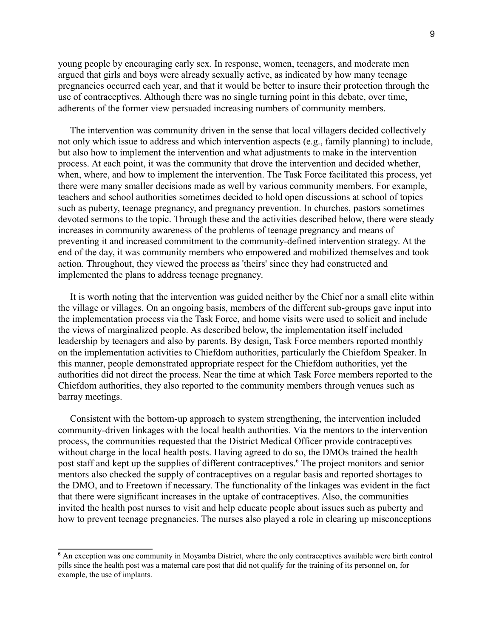young people by encouraging early sex. In response, women, teenagers, and moderate men argued that girls and boys were already sexually active, as indicated by how many teenage pregnancies occurred each year, and that it would be better to insure their protection through the use of contraceptives. Although there was no single turning point in this debate, over time, adherents of the former view persuaded increasing numbers of community members.

 The intervention was community driven in the sense that local villagers decided collectively not only which issue to address and which intervention aspects (e.g., family planning) to include, but also how to implement the intervention and what adjustments to make in the intervention process. At each point, it was the community that drove the intervention and decided whether, when, where, and how to implement the intervention. The Task Force facilitated this process, yet there were many smaller decisions made as well by various community members. For example, teachers and school authorities sometimes decided to hold open discussions at school of topics such as puberty, teenage pregnancy, and pregnancy prevention. In churches, pastors sometimes devoted sermons to the topic. Through these and the activities described below, there were steady increases in community awareness of the problems of teenage pregnancy and means of preventing it and increased commitment to the community-defined intervention strategy. At the end of the day, it was community members who empowered and mobilized themselves and took action. Throughout, they viewed the process as 'theirs' since they had constructed and implemented the plans to address teenage pregnancy.

 It is worth noting that the intervention was guided neither by the Chief nor a small elite within the village or villages. On an ongoing basis, members of the different sub-groups gave input into the implementation process via the Task Force, and home visits were used to solicit and include the views of marginalized people. As described below, the implementation itself included leadership by teenagers and also by parents. By design, Task Force members reported monthly on the implementation activities to Chiefdom authorities, particularly the Chiefdom Speaker. In this manner, people demonstrated appropriate respect for the Chiefdom authorities, yet the authorities did not direct the process. Near the time at which Task Force members reported to the Chiefdom authorities, they also reported to the community members through venues such as barray meetings.

 Consistent with the bottom-up approach to system strengthening, the intervention included community-driven linkages with the local health authorities. Via the mentors to the intervention process, the communities requested that the District Medical Officer provide contraceptives without charge in the local health posts. Having agreed to do so, the DMOs trained the health post staff and kept up the supplies of different contraceptives.<sup>[6](#page-8-0)</sup> The project monitors and senior mentors also checked the supply of contraceptives on a regular basis and reported shortages to the DMO, and to Freetown if necessary. The functionality of the linkages was evident in the fact that there were significant increases in the uptake of contraceptives. Also, the communities invited the health post nurses to visit and help educate people about issues such as puberty and how to prevent teenage pregnancies. The nurses also played a role in clearing up misconceptions

<span id="page-8-0"></span><sup>&</sup>lt;sup>6</sup> An exception was one community in Moyamba District, where the only contraceptives available were birth control pills since the health post was a maternal care post that did not qualify for the training of its personnel on, for example, the use of implants.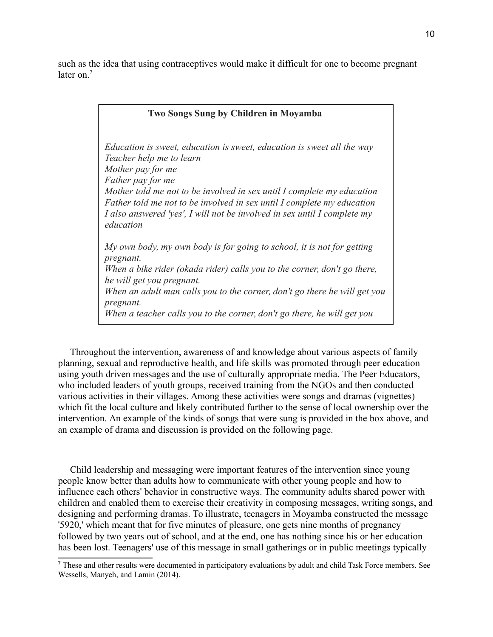such as the idea that using contraceptives would make it difficult for one to become pregnant later on  $<sup>7</sup>$  $<sup>7</sup>$  $<sup>7</sup>$ </sup>

| <b>Two Songs Sung by Children in Moyamba</b>                                                                                                                                                                                                                                                                                                                                                     |  |  |
|--------------------------------------------------------------------------------------------------------------------------------------------------------------------------------------------------------------------------------------------------------------------------------------------------------------------------------------------------------------------------------------------------|--|--|
| Education is sweet, education is sweet, education is sweet all the way<br>Teacher help me to learn<br>Mother pay for me<br><i>Father pay for me</i><br>Mother told me not to be involved in sex until I complete my education<br>Father told me not to be involved in sex until I complete my education<br>I also answered 'yes', I will not be involved in sex until I complete my<br>education |  |  |
| My own body, my own body is for going to school, it is not for getting<br>pregnant.<br>When a bike rider (okada rider) calls you to the corner, don't go there,<br>he will get you pregnant.<br>When an adult man calls you to the corner, don't go there he will get you<br>pregnant.<br>When a teacher calls you to the corner, don't go there, he will get you                                |  |  |

 Throughout the intervention, awareness of and knowledge about various aspects of family planning, sexual and reproductive health, and life skills was promoted through peer education using youth driven messages and the use of culturally appropriate media. The Peer Educators, who included leaders of youth groups, received training from the NGOs and then conducted various activities in their villages. Among these activities were songs and dramas (vignettes) which fit the local culture and likely contributed further to the sense of local ownership over the intervention. An example of the kinds of songs that were sung is provided in the box above, and an example of drama and discussion is provided on the following page.

 Child leadership and messaging were important features of the intervention since young people know better than adults how to communicate with other young people and how to influence each others' behavior in constructive ways. The community adults shared power with children and enabled them to exercise their creativity in composing messages, writing songs, and designing and performing dramas. To illustrate, teenagers in Moyamba constructed the message '5920,' which meant that for five minutes of pleasure, one gets nine months of pregnancy followed by two years out of school, and at the end, one has nothing since his or her education has been lost. Teenagers' use of this message in small gatherings or in public meetings typically

<span id="page-9-0"></span><sup>7</sup> These and other results were documented in participatory evaluations by adult and child Task Force members. See Wessells, Manyeh, and Lamin (2014).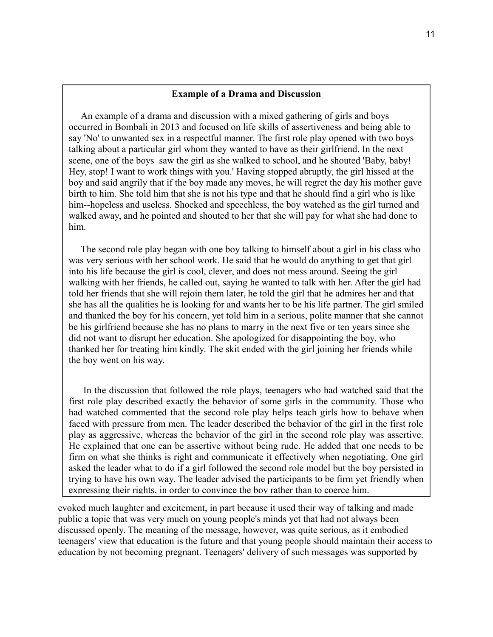## **Example of a Drama and Discussion**

 An example of a drama and discussion with a mixed gathering of girls and boys occurred in Bombali in 2013 and focused on life skills of assertiveness and being able to say 'No' to unwanted sex in a respectful manner. The first role play opened with two boys talking about a particular girl whom they wanted to have as their girlfriend. In the next scene, one of the boys saw the girl as she walked to school, and he shouted 'Baby, baby! Hey, stop! I want to work things with you.' Having stopped abruptly, the girl hissed at the boy and said angrily that if the boy made any moves, he will regret the day his mother gave birth to him. She told him that she is not his type and that he should find a girl who is like him--hopeless and useless. Shocked and speechless, the boy watched as the girl turned and walked away, and he pointed and shouted to her that she will pay for what she had done to him.

 The second role play began with one boy talking to himself about a girl in his class who was very serious with her school work. He said that he would do anything to get that girl into his life because the girl is cool, clever, and does not mess around. Seeing the girl walking with her friends, he called out, saying he wanted to talk with her. After the girl had told her friends that she will rejoin them later, he told the girl that he admires her and that she has all the qualities he is looking for and wants her to be his life partner. The girl smiled and thanked the boy for his concern, yet told him in a serious, polite manner that she cannot be his girlfriend because she has no plans to marry in the next five or ten years since she did not want to disrupt her education. She apologized for disappointing the boy, who thanked her for treating him kindly. The skit ended with the girl joining her friends while the boy went on his way.

 In the discussion that followed the role plays, teenagers who had watched said that the first role play described exactly the behavior of some girls in the community. Those who had watched commented that the second role play helps teach girls how to behave when faced with pressure from men. The leader described the behavior of the girl in the first role play as aggressive, whereas the behavior of the girl in the second role play was assertive. He explained that one can be assertive without being rude. He added that one needs to be firm on what she thinks is right and communicate it effectively when negotiating. One girl asked the leader what to do if a girl followed the second role model but the boy persisted in trying to have his own way. The leader advised the participants to be firm yet friendly when expressing their rights, in order to convince the boy rather than to coerce him.

evoked much laughter and excitement, in part because it used their way of talking and made public a topic that was very much on young people's minds yet that had not always been discussed openly. The meaning of the message, however, was quite serious, as it embodied teenagers' view that education is the future and that young people should maintain their access to education by not becoming pregnant. Teenagers' delivery of such messages was supported by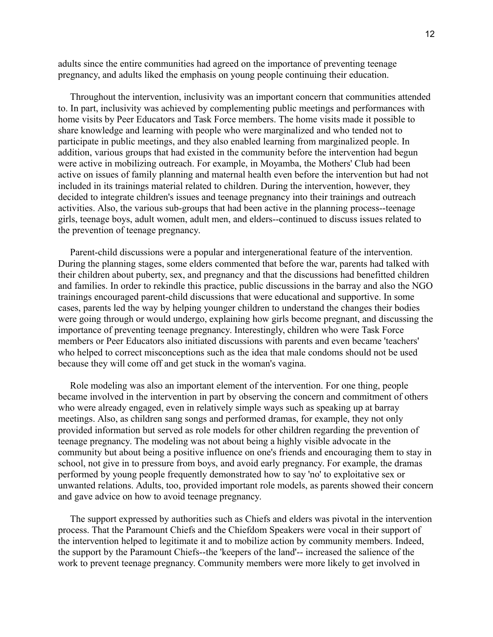adults since the entire communities had agreed on the importance of preventing teenage pregnancy, and adults liked the emphasis on young people continuing their education.

 Throughout the intervention, inclusivity was an important concern that communities attended to. In part, inclusivity was achieved by complementing public meetings and performances with home visits by Peer Educators and Task Force members. The home visits made it possible to share knowledge and learning with people who were marginalized and who tended not to participate in public meetings, and they also enabled learning from marginalized people. In addition, various groups that had existed in the community before the intervention had begun were active in mobilizing outreach. For example, in Moyamba, the Mothers' Club had been active on issues of family planning and maternal health even before the intervention but had not included in its trainings material related to children. During the intervention, however, they decided to integrate children's issues and teenage pregnancy into their trainings and outreach activities. Also, the various sub-groups that had been active in the planning process--teenage girls, teenage boys, adult women, adult men, and elders--continued to discuss issues related to the prevention of teenage pregnancy.

 Parent-child discussions were a popular and intergenerational feature of the intervention. During the planning stages, some elders commented that before the war, parents had talked with their children about puberty, sex, and pregnancy and that the discussions had benefitted children and families. In order to rekindle this practice, public discussions in the barray and also the NGO trainings encouraged parent-child discussions that were educational and supportive. In some cases, parents led the way by helping younger children to understand the changes their bodies were going through or would undergo, explaining how girls become pregnant, and discussing the importance of preventing teenage pregnancy. Interestingly, children who were Task Force members or Peer Educators also initiated discussions with parents and even became 'teachers' who helped to correct misconceptions such as the idea that male condoms should not be used because they will come off and get stuck in the woman's vagina.

 Role modeling was also an important element of the intervention. For one thing, people became involved in the intervention in part by observing the concern and commitment of others who were already engaged, even in relatively simple ways such as speaking up at barray meetings. Also, as children sang songs and performed dramas, for example, they not only provided information but served as role models for other children regarding the prevention of teenage pregnancy. The modeling was not about being a highly visible advocate in the community but about being a positive influence on one's friends and encouraging them to stay in school, not give in to pressure from boys, and avoid early pregnancy. For example, the dramas performed by young people frequently demonstrated how to say 'no' to exploitative sex or unwanted relations. Adults, too, provided important role models, as parents showed their concern and gave advice on how to avoid teenage pregnancy.

 The support expressed by authorities such as Chiefs and elders was pivotal in the intervention process. That the Paramount Chiefs and the Chiefdom Speakers were vocal in their support of the intervention helped to legitimate it and to mobilize action by community members. Indeed, the support by the Paramount Chiefs--the 'keepers of the land'-- increased the salience of the work to prevent teenage pregnancy. Community members were more likely to get involved in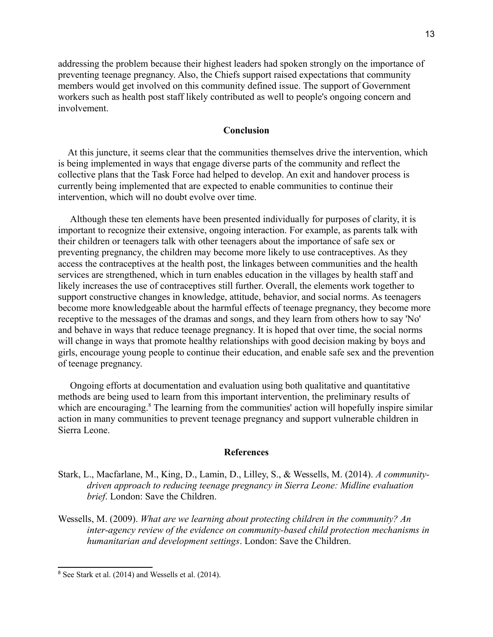addressing the problem because their highest leaders had spoken strongly on the importance of preventing teenage pregnancy. Also, the Chiefs support raised expectations that community members would get involved on this community defined issue. The support of Government workers such as health post staff likely contributed as well to people's ongoing concern and involvement.

# **Conclusion**

 At this juncture, it seems clear that the communities themselves drive the intervention, which is being implemented in ways that engage diverse parts of the community and reflect the collective plans that the Task Force had helped to develop. An exit and handover process is currently being implemented that are expected to enable communities to continue their intervention, which will no doubt evolve over time.

 Although these ten elements have been presented individually for purposes of clarity, it is important to recognize their extensive, ongoing interaction. For example, as parents talk with their children or teenagers talk with other teenagers about the importance of safe sex or preventing pregnancy, the children may become more likely to use contraceptives. As they access the contraceptives at the health post, the linkages between communities and the health services are strengthened, which in turn enables education in the villages by health staff and likely increases the use of contraceptives still further. Overall, the elements work together to support constructive changes in knowledge, attitude, behavior, and social norms. As teenagers become more knowledgeable about the harmful effects of teenage pregnancy, they become more receptive to the messages of the dramas and songs, and they learn from others how to say 'No' and behave in ways that reduce teenage pregnancy. It is hoped that over time, the social norms will change in ways that promote healthy relationships with good decision making by boys and girls, encourage young people to continue their education, and enable safe sex and the prevention of teenage pregnancy.

 Ongoing efforts at documentation and evaluation using both qualitative and quantitative methods are being used to learn from this important intervention, the preliminary results of which are encouraging.<sup>[8](#page-12-0)</sup> The learning from the communities' action will hopefully inspire similar action in many communities to prevent teenage pregnancy and support vulnerable children in Sierra Leone.

#### **References**

- Stark, L., Macfarlane, M., King, D., Lamin, D., Lilley, S., & Wessells, M. (2014). *A communitydriven approach to reducing teenage pregnancy in Sierra Leone: Midline evaluation brief*. London: Save the Children.
- Wessells, M. (2009). *What are we learning about protecting children in the community? An inter-agency review of the evidence on community-based child protection mechanisms in humanitarian and development settings*. London: Save the Children.

<span id="page-12-0"></span><sup>8</sup> See Stark et al. (2014) and Wessells et al. (2014).